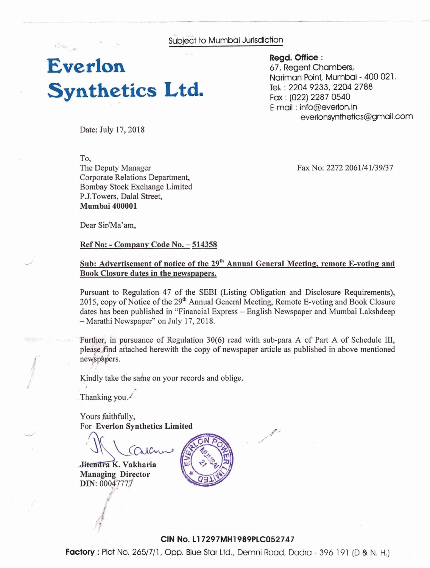Subject to Mumbai Jurisdiction

# **Everlon Synthetics Ltd.**

Regd. **Office** : 67, Regent Chambers, Nariman Point, Mumbai - 400 021. **Td** : 2204 9233,2204 2788 Fax : (022) 2287 0540 E-mail : info@evarlon,in everlonsynthetics@gmail .com

Date: July 17, 2018

To, The Deputy Manager Corporate Relations Department, Bombay Stock Exchange Limited P.J.Towers, Dalal Street, **Mumbai 400001** 

Fax No: 2272 2061/41/39/37

Dear Sir/Ma'am.

**Ref No: - Company Code No. – 514358** 

#### Sub: Advertisement of notice of the 29<sup>th</sup> Annual General Meeting, remote E-voting and Book Closure dates in the newspapers.

Pursuant to Regulation 47 of the SEBI (Listing Obligation and Disclosure Requirements), 2015, copy of Notice of the 29<sup>th</sup> Annual General Meeting, Remote E-voting and Book Closure dates has been published in "Financial Express - English Newspaper and Mumbai Lakshdeep - Marathi Newspaper" on July 17, 2018.

Further, in pursuance of Regulation  $30(6)$  read with sub-para A of Part A of Schedule III, please find attached herewith the copy of newspaper article as published in above mentioned newspapers.

Kindly take the same on your records and oblige.

**<sup>I</sup>**- Thanking you./

Yours faithfully, For **Everlon Synthetics Limited** 

. **Vakharia Managing Director DIN: 00047777** 



#### **CIN No. 11 7297MH1989PLC052747**

**Factory** : Plot No. 265/7/1, Opp. Blue Star Ltd., Demni Road, Dadra - 396 191 (D & N. H.)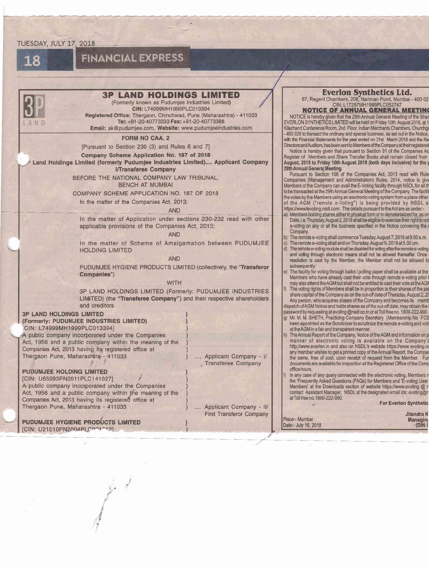#### TUESDAY, JULY 17, 2018



### **FINANCIAL EXPRESS**

| <b>3P LAND HOLDINGS LIMITED</b><br>(Formerly known as Pudumjee Industries Limited)<br>CIN: L74999MH1999PLC013394<br>Registered Office: Thergaon, Chinchwad, Pune (Maharashtra) - 411033                                                                                                                                                                                                                                                                                                                                                                                                                                                                                                                                                                                                                                                                                                                                                                                                                                                                                                                                                                                                                                                                                                                                                                                                                                                                                                                                                                                          |                                                                                                            | <b>Everlon Synthetics Ltd.</b><br>67, Regent Chambers, 208, Nariman Point, Mumbai - 400 02<br>CIN: L17297MH1989PLC052747<br><b>NOTICE OF ANNUAL GENERAL MEETING</b><br>NOTICE is hereby given that the 29th Annual General Meeting of the Sha                                                                                                                                                                                                                                                                                                                                                                                                                                                                                                                                                                                                                                                                                                                                                                                                                                                                                                                                                                                                                                                                                                                                                                                                                                                                                                                                                                                                                                                                                                                                                                                                                                                                                                                                                                                                                                                                                                                                                                                                                                                                                                                                                                                                                                                                                                                                                                                                                                                                                                                                                                                                                                                                                                                                                                                                                                                                                                                                                                                                                                                                                                                                                                                                                                                                                                                                     |
|----------------------------------------------------------------------------------------------------------------------------------------------------------------------------------------------------------------------------------------------------------------------------------------------------------------------------------------------------------------------------------------------------------------------------------------------------------------------------------------------------------------------------------------------------------------------------------------------------------------------------------------------------------------------------------------------------------------------------------------------------------------------------------------------------------------------------------------------------------------------------------------------------------------------------------------------------------------------------------------------------------------------------------------------------------------------------------------------------------------------------------------------------------------------------------------------------------------------------------------------------------------------------------------------------------------------------------------------------------------------------------------------------------------------------------------------------------------------------------------------------------------------------------------------------------------------------------|------------------------------------------------------------------------------------------------------------|-----------------------------------------------------------------------------------------------------------------------------------------------------------------------------------------------------------------------------------------------------------------------------------------------------------------------------------------------------------------------------------------------------------------------------------------------------------------------------------------------------------------------------------------------------------------------------------------------------------------------------------------------------------------------------------------------------------------------------------------------------------------------------------------------------------------------------------------------------------------------------------------------------------------------------------------------------------------------------------------------------------------------------------------------------------------------------------------------------------------------------------------------------------------------------------------------------------------------------------------------------------------------------------------------------------------------------------------------------------------------------------------------------------------------------------------------------------------------------------------------------------------------------------------------------------------------------------------------------------------------------------------------------------------------------------------------------------------------------------------------------------------------------------------------------------------------------------------------------------------------------------------------------------------------------------------------------------------------------------------------------------------------------------------------------------------------------------------------------------------------------------------------------------------------------------------------------------------------------------------------------------------------------------------------------------------------------------------------------------------------------------------------------------------------------------------------------------------------------------------------------------------------------------------------------------------------------------------------------------------------------------------------------------------------------------------------------------------------------------------------------------------------------------------------------------------------------------------------------------------------------------------------------------------------------------------------------------------------------------------------------------------------------------------------------------------------------------------------------------------------------------------------------------------------------------------------------------------------------------------------------------------------------------------------------------------------------------------------------------------------------------------------------------------------------------------------------------------------------------------------------------------------------------------------------------------------------------|
| Tel: +91-20-40773333 Fax: +91-20-40773388<br>Email: sk@pudumjee.com, Website: www.pudumjeeindustries.com                                                                                                                                                                                                                                                                                                                                                                                                                                                                                                                                                                                                                                                                                                                                                                                                                                                                                                                                                                                                                                                                                                                                                                                                                                                                                                                                                                                                                                                                         |                                                                                                            | EVERLON SYNTHETICS LIMITED will be held on Friday 10th August 2018, at 1<br>Kilachand Conference Room, 2nd Floor, Indian Merchants Chambers, Churchg                                                                                                                                                                                                                                                                                                                                                                                                                                                                                                                                                                                                                                                                                                                                                                                                                                                                                                                                                                                                                                                                                                                                                                                                                                                                                                                                                                                                                                                                                                                                                                                                                                                                                                                                                                                                                                                                                                                                                                                                                                                                                                                                                                                                                                                                                                                                                                                                                                                                                                                                                                                                                                                                                                                                                                                                                                                                                                                                                                                                                                                                                                                                                                                                                                                                                                                                                                                                                              |
| <b>FORM NO CAA. 2</b><br>[Pursuant to Section 230 (3) and Rules 6 and 7]<br>Company Scheme Application No. 187 of 2018<br>Land Holdings Limited (formerly Pudumjee Industries Limited) Applicant Company<br><b>I/Transferee Company</b><br>BEFORE THE NATIONAL COMPANY LAW TRIBUNAL,<br><b>BENCH AT MUMBAI</b><br>COMPANY SCHEME APPLICATION NO. 187 OF 2018<br>In the matter of the Companies Act, 2013;<br><b>AND</b><br>In the matter of Application under sections 230-232 read with other<br>applicable provisions of the Companies Act, 2013;<br><b>AND</b><br>In the matter of Scheme of Amalgamation between PUDUMJEE<br><b>HOLDING LIMITED</b><br><b>AND</b><br>PUDUMJEE HYGIENE PRODUCTS LIMITED (collectively, the "Transferor"<br>Companies")<br><b>WITH</b><br>3P LAND HOLDINGS LIMITED (Formerly: PUDUMJEE INDUSTRIES<br>LIMITED) (the "Transferee Company") and their respective shareholders<br>and creditors<br><b>3P LAND HOLDINGS LIMITED</b><br>(Formerly: PUDUMJEE INDUSTRIES LIMITED)<br>CIN: L74999MH1999PLC0133941<br>A public company incorporated under the Companies<br>Act, 1956 and a public company within the meaning of the<br>Companies Act, 2013 having its registered office at<br>Thergaon Pune, Maharashtra - 411033<br><b>PUDUMJEE HOLDING LIMITED</b><br>[CIN: U65993PN2011PLC141027]<br>A public company incorporated under the Companies<br>Act, 1956 and a public company within the meaning of the<br>Companies Act, 2013 having its registered office at<br>Thergaon Pune, Maharashtra - 411033<br>PUDUMJEE HYGIENE PRODUCTS LIMITED | Applicant Company - I/<br>Transferee Company<br>Applicant Company - II/<br><b>First Transferor Company</b> | -400 020 to transact the ordinary and special business, as set out in the Notice<br>with the Financial Statements for the year ended on 31st March 2018 and the Re<br>Directors and Auditors, has been sent to Members of the Company at their registered<br>Notice is hereby given that pursuant to Section 91 of the Companies Ad<br>Register of Members and Share Transfer Books shall remain closed from<br>August, 2018 to Friday 10th August 2018 (both days inclusive) for the<br>29th Annual General Meeting.<br>Pursuant to Section 108 of the Companies Act, 2013 read with Rule<br>Companies (Management and Administration) Rules, 2014, notice is giv-<br>Members of the Company can avail the E-Voting facility through NSDL for all the<br>to be transacted at the 29th Annual General Meeting of the Company. The facili<br>the votes by the Members using an electronic voting system from a place other<br>of the AGM ("remote e-Voting") is being provided by NSDL a<br>https://www/evoting.nsdl.com. The details pursuant to the Act are as under:-<br>a) Members holding shares either in physical form or in dematerialized for, as or<br>Date, i.e. Thursday, August 2, 2018 shall be eligible to exercise their right to vo<br>e-voting on any or all the business specified in the Notice convening the<br>Company.<br>b) The remote e-voting shall commence Tuesday, August 7, 2018 at 9.00 a.m.<br>The remote e-voting shall end on Thursday, August 9, 2018 at 5.00 pm.<br>c)<br>d) The remote e-voting module shall be disabled for voting after the remote e-voting<br>and voting through electronic means shall not be allowed thereafter. Once<br>resolution is cast by the Member, the Member shall not be allowed to<br>subsequently.<br>e) The facility for voting through ballot / polling paper shall be available at the<br>Members who have already cast their vote through remote e-voting prior<br>may also attend the AGM but shall not be entitled to cast their vote at the AGI<br>The voting rights of Members shall be in proportion to their shares of the pa<br>share capital of the Company as on the cut-off date of Thursday, August 2, 2<br>Any person, who acquires shares of the Company and becomes its meml<br>dispatch of AGM Notice and holds shares as of the cut-off date, may obtain the<br>password by requesting at evoting @nsdl co.in or at Toll free no. 1800-222-990.<br>g) Mr. M. M. SHETH, Practicing Company Secretary (Membership No FCS<br>been appointed as the Scrutinizer to scrutinize the remote e-voting and vot<br>at the AGM in a fair and transparent manner.<br>h) The Annual Report of the Company, Notice of the AGM and information on p<br>manner of electronic voting is available on the Company's<br>http://www.everlon.in and also on NSDL's website https://www.evoting.n<br>any member wishes to get a printed copy of the Annual Report, the Compa<br>the same, free of cost, upon receipt of request from the Member. Full<br>documents are available for inspection at the Registered Office of the Com<br>office hours.<br>In any case of any query connected with the electronic voting, Members r<br>the 'Frequently Asked Questions (FAQs) for Members and 'E-voting User<br>Members' at the Downloads section of website https://www.evoting @ r<br>contact Assistant Manager, NSDL at the designated email ids: evoting@r<br>at Toll free no.1800-222-990.<br><b>For Everlon Synthetic</b><br><b>Jitendra K</b><br>Place:- Mumbai<br>Managing<br>DIN<br>Date:- July 16, 2018 |
| [CIN: U21010PN2004PLC0010121                                                                                                                                                                                                                                                                                                                                                                                                                                                                                                                                                                                                                                                                                                                                                                                                                                                                                                                                                                                                                                                                                                                                                                                                                                                                                                                                                                                                                                                                                                                                                     |                                                                                                            |                                                                                                                                                                                                                                                                                                                                                                                                                                                                                                                                                                                                                                                                                                                                                                                                                                                                                                                                                                                                                                                                                                                                                                                                                                                                                                                                                                                                                                                                                                                                                                                                                                                                                                                                                                                                                                                                                                                                                                                                                                                                                                                                                                                                                                                                                                                                                                                                                                                                                                                                                                                                                                                                                                                                                                                                                                                                                                                                                                                                                                                                                                                                                                                                                                                                                                                                                                                                                                                                                                                                                                                   |